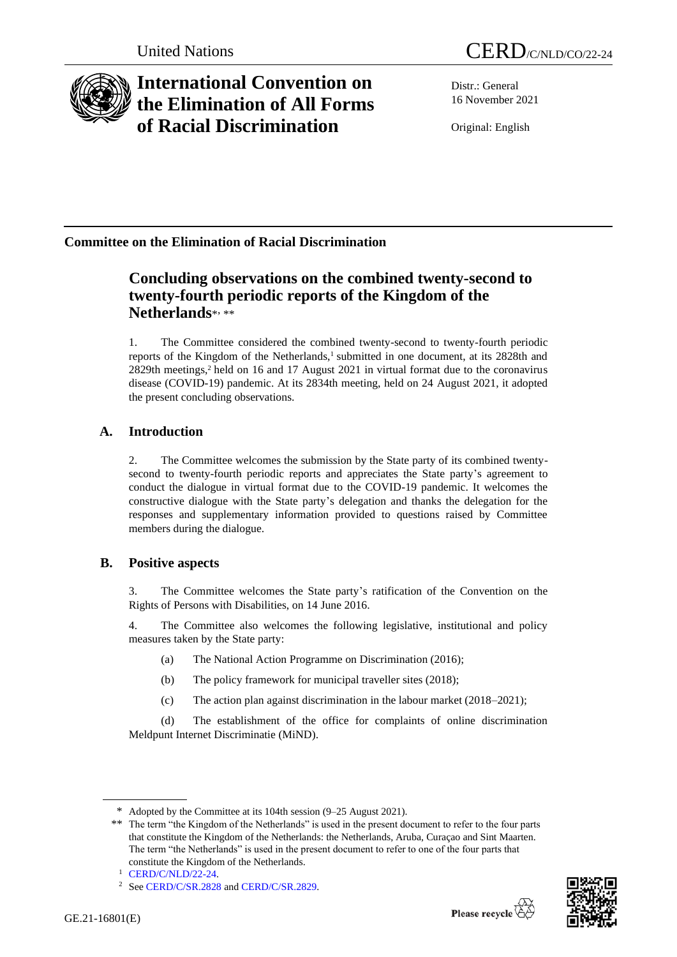

# **International Convention on the Elimination of All Forms of Racial Discrimination**

Distr.: General 16 November 2021

Original: English

## **Committee on the Elimination of Racial Discrimination**

## **Concluding observations on the combined twenty-second to twenty-fourth periodic reports of the Kingdom of the Netherlands**\* , \*\*

1. The Committee considered the combined twenty-second to twenty-fourth periodic reports of the Kingdom of the Netherlands,<sup>1</sup> submitted in one document, at its 2828th and 2829th meetings,<sup>2</sup> held on 16 and 17 August 2021 in virtual format due to the coronavirus disease (COVID-19) pandemic. At its 2834th meeting, held on 24 August 2021, it adopted the present concluding observations.

## **A. Introduction**

2. The Committee welcomes the submission by the State party of its combined twentysecond to twenty-fourth periodic reports and appreciates the State party's agreement to conduct the dialogue in virtual format due to the COVID-19 pandemic. It welcomes the constructive dialogue with the State party's delegation and thanks the delegation for the responses and supplementary information provided to questions raised by Committee members during the dialogue.

## **B. Positive aspects**

3. The Committee welcomes the State party's ratification of the Convention on the Rights of Persons with Disabilities, on 14 June 2016.

4. The Committee also welcomes the following legislative, institutional and policy measures taken by the State party:

- (a) The National Action Programme on Discrimination (2016);
- (b) The policy framework for municipal traveller sites (2018);
- (c) The action plan against discrimination in the labour market (2018–2021);

(d) The establishment of the office for complaints of online discrimination Meldpunt Internet Discriminatie (MiND).



<sup>\*</sup> Adopted by the Committee at its 104th session (9–25 August 2021).

<sup>\*\*</sup> The term "the Kingdom of the Netherlands" is used in the present document to refer to the four parts that constitute the Kingdom of the Netherlands: the Netherlands, Aruba, Curaçao and Sint Maarten. The term "the Netherlands" is used in the present document to refer to one of the four parts that constitute the Kingdom of the Netherlands.

<sup>1</sup> [CERD/C/NLD/22-24.](http://undocs.org/en/CERD/C/NLD/22-24)

<sup>2</sup> Se[e CERD/C/SR.2828](http://undocs.org/en/CERD/C/SR.2828) an[d CERD/C/SR.2829.](http://undocs.org/en/CERD/C/SR.2829)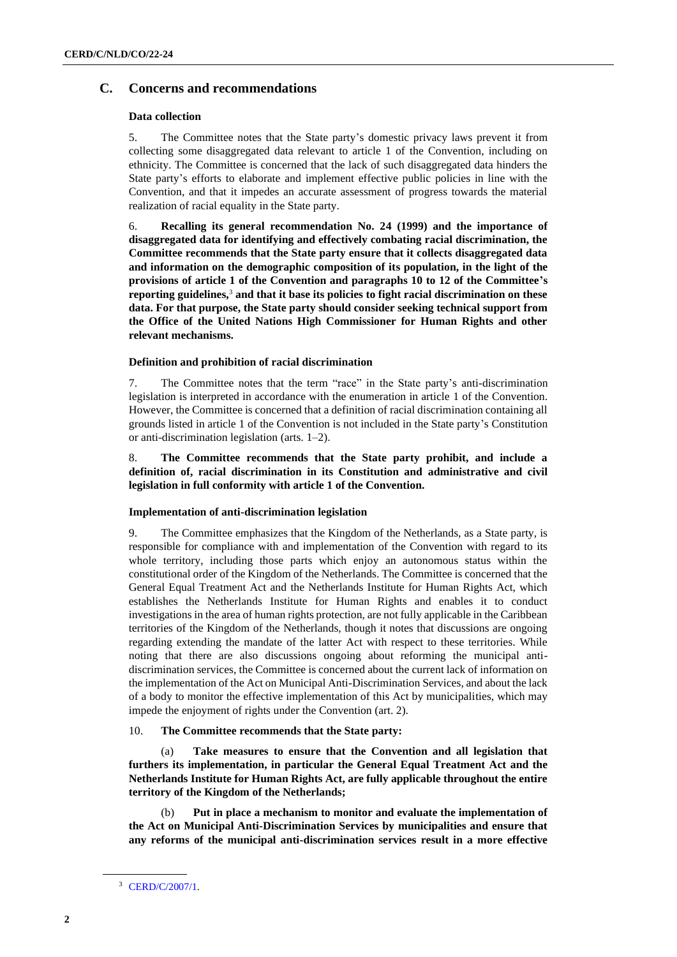## **C. Concerns and recommendations**

## **Data collection**

5. The Committee notes that the State party's domestic privacy laws prevent it from collecting some disaggregated data relevant to article 1 of the Convention, including on ethnicity. The Committee is concerned that the lack of such disaggregated data hinders the State party's efforts to elaborate and implement effective public policies in line with the Convention, and that it impedes an accurate assessment of progress towards the material realization of racial equality in the State party.

6. **Recalling its general recommendation No. 24 (1999) and the importance of disaggregated data for identifying and effectively combating racial discrimination, the Committee recommends that the State party ensure that it collects disaggregated data and information on the demographic composition of its population, in the light of the provisions of article 1 of the Convention and paragraphs 10 to 12 of the Committee's reporting guidelines,**<sup>3</sup> **and that it base its policies to fight racial discrimination on these data. For that purpose, the State party should consider seeking technical support from the Office of the United Nations High Commissioner for Human Rights and other relevant mechanisms.**

## **Definition and prohibition of racial discrimination**

7. The Committee notes that the term "race" in the State party's anti-discrimination legislation is interpreted in accordance with the enumeration in article 1 of the Convention. However, the Committee is concerned that a definition of racial discrimination containing all grounds listed in article 1 of the Convention is not included in the State party's Constitution or anti-discrimination legislation (arts. 1–2).

8. **The Committee recommends that the State party prohibit, and include a definition of, racial discrimination in its Constitution and administrative and civil legislation in full conformity with article 1 of the Convention.**

## **Implementation of anti-discrimination legislation**

9. The Committee emphasizes that the Kingdom of the Netherlands, as a State party, is responsible for compliance with and implementation of the Convention with regard to its whole territory, including those parts which enjoy an autonomous status within the constitutional order of the Kingdom of the Netherlands. The Committee is concerned that the General Equal Treatment Act and the Netherlands Institute for Human Rights Act, which establishes the Netherlands Institute for Human Rights and enables it to conduct investigations in the area of human rights protection, are not fully applicable in the Caribbean territories of the Kingdom of the Netherlands, though it notes that discussions are ongoing regarding extending the mandate of the latter Act with respect to these territories. While noting that there are also discussions ongoing about reforming the municipal antidiscrimination services, the Committee is concerned about the current lack of information on the implementation of the Act on Municipal Anti-Discrimination Services, and about the lack of a body to monitor the effective implementation of this Act by municipalities, which may impede the enjoyment of rights under the Convention (art. 2).

## 10. **The Committee recommends that the State party:**

(a) **Take measures to ensure that the Convention and all legislation that furthers its implementation, in particular the General Equal Treatment Act and the Netherlands Institute for Human Rights Act, are fully applicable throughout the entire territory of the Kingdom of the Netherlands;** 

Put in place a mechanism to monitor and evaluate the implementation of **the Act on Municipal Anti-Discrimination Services by municipalities and ensure that any reforms of the municipal anti-discrimination services result in a more effective** 

<sup>3</sup> [CERD/C/2007/1.](http://undocs.org/en/CERD/C/2007/1)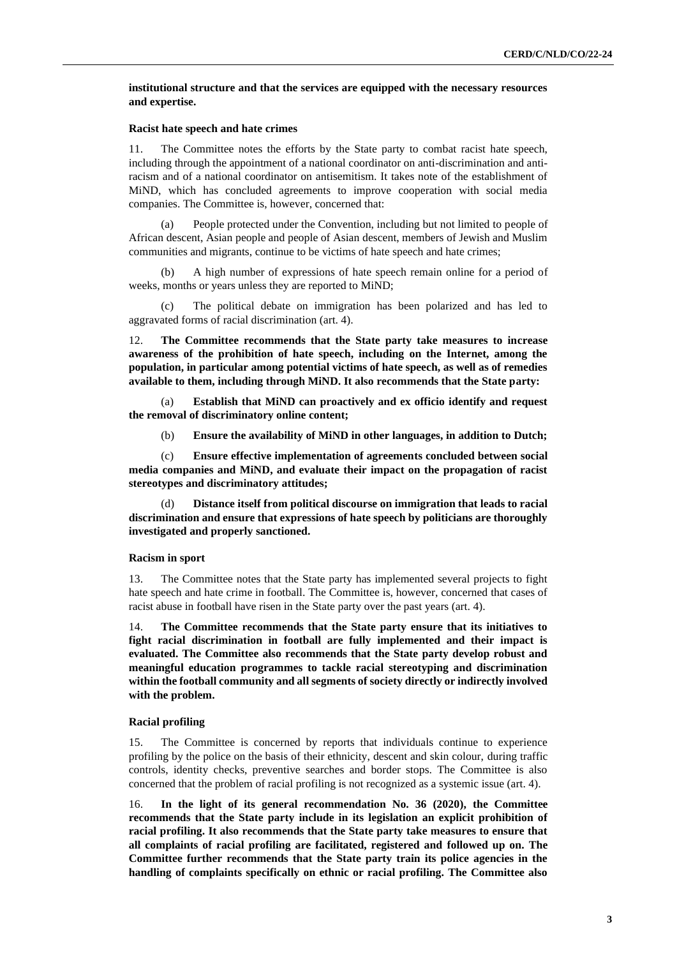## **institutional structure and that the services are equipped with the necessary resources and expertise.**

#### **Racist hate speech and hate crimes**

11. The Committee notes the efforts by the State party to combat racist hate speech, including through the appointment of a national coordinator on anti-discrimination and antiracism and of a national coordinator on antisemitism. It takes note of the establishment of MiND, which has concluded agreements to improve cooperation with social media companies. The Committee is, however, concerned that:

(a) People protected under the Convention, including but not limited to people of African descent, Asian people and people of Asian descent, members of Jewish and Muslim communities and migrants, continue to be victims of hate speech and hate crimes;

(b) A high number of expressions of hate speech remain online for a period of weeks, months or years unless they are reported to MiND;

(c) The political debate on immigration has been polarized and has led to aggravated forms of racial discrimination (art. 4).

12. **The Committee recommends that the State party take measures to increase awareness of the prohibition of hate speech, including on the Internet, among the population, in particular among potential victims of hate speech, as well as of remedies available to them, including through MiND. It also recommends that the State party:**

(a) **Establish that MiND can proactively and ex officio identify and request the removal of discriminatory online content;**

(b) **Ensure the availability of MiND in other languages, in addition to Dutch;**

(c) **Ensure effective implementation of agreements concluded between social media companies and MiND, and evaluate their impact on the propagation of racist stereotypes and discriminatory attitudes;**

(d) **Distance itself from political discourse on immigration that leads to racial discrimination and ensure that expressions of hate speech by politicians are thoroughly investigated and properly sanctioned.**

#### **Racism in sport**

13. The Committee notes that the State party has implemented several projects to fight hate speech and hate crime in football. The Committee is, however, concerned that cases of racist abuse in football have risen in the State party over the past years (art. 4).

14. **The Committee recommends that the State party ensure that its initiatives to fight racial discrimination in football are fully implemented and their impact is evaluated. The Committee also recommends that the State party develop robust and meaningful education programmes to tackle racial stereotyping and discrimination within the football community and all segments of society directly or indirectly involved with the problem.**

#### **Racial profiling**

15. The Committee is concerned by reports that individuals continue to experience profiling by the police on the basis of their ethnicity, descent and skin colour, during traffic controls, identity checks, preventive searches and border stops. The Committee is also concerned that the problem of racial profiling is not recognized as a systemic issue (art. 4).

16. **In the light of its general recommendation No. 36 (2020), the Committee recommends that the State party include in its legislation an explicit prohibition of racial profiling. It also recommends that the State party take measures to ensure that all complaints of racial profiling are facilitated, registered and followed up on. The Committee further recommends that the State party train its police agencies in the handling of complaints specifically on ethnic or racial profiling. The Committee also**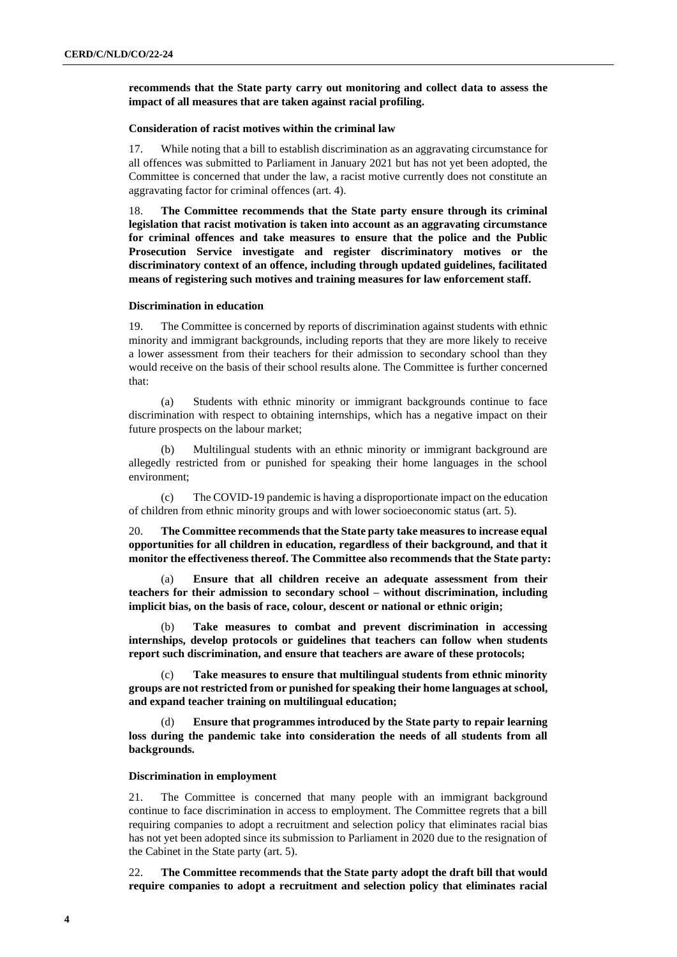**recommends that the State party carry out monitoring and collect data to assess the impact of all measures that are taken against racial profiling.** 

#### **Consideration of racist motives within the criminal law**

17. While noting that a bill to establish discrimination as an aggravating circumstance for all offences was submitted to Parliament in January 2021 but has not yet been adopted, the Committee is concerned that under the law, a racist motive currently does not constitute an aggravating factor for criminal offences (art. 4).

18. **The Committee recommends that the State party ensure through its criminal legislation that racist motivation is taken into account as an aggravating circumstance for criminal offences and take measures to ensure that the police and the Public Prosecution Service investigate and register discriminatory motives or the discriminatory context of an offence, including through updated guidelines, facilitated means of registering such motives and training measures for law enforcement staff.**

#### **Discrimination in education**

19. The Committee is concerned by reports of discrimination against students with ethnic minority and immigrant backgrounds, including reports that they are more likely to receive a lower assessment from their teachers for their admission to secondary school than they would receive on the basis of their school results alone. The Committee is further concerned that:

(a) Students with ethnic minority or immigrant backgrounds continue to face discrimination with respect to obtaining internships, which has a negative impact on their future prospects on the labour market;

(b) Multilingual students with an ethnic minority or immigrant background are allegedly restricted from or punished for speaking their home languages in the school environment;

(c) The COVID-19 pandemic is having a disproportionate impact on the education of children from ethnic minority groups and with lower socioeconomic status (art. 5).

20. **The Committee recommends that the State party take measures to increase equal opportunities for all children in education, regardless of their background, and that it monitor the effectiveness thereof. The Committee also recommends that the State party:**

(a) **Ensure that all children receive an adequate assessment from their teachers for their admission to secondary school – without discrimination, including implicit bias, on the basis of race, colour, descent or national or ethnic origin;**

(b) **Take measures to combat and prevent discrimination in accessing internships, develop protocols or guidelines that teachers can follow when students report such discrimination, and ensure that teachers are aware of these protocols;**

(c) **Take measures to ensure that multilingual students from ethnic minority groups are not restricted from or punished for speaking their home languages at school, and expand teacher training on multilingual education;**

(d) **Ensure that programmes introduced by the State party to repair learning loss during the pandemic take into consideration the needs of all students from all backgrounds.**

#### **Discrimination in employment**

21. The Committee is concerned that many people with an immigrant background continue to face discrimination in access to employment. The Committee regrets that a bill requiring companies to adopt a recruitment and selection policy that eliminates racial bias has not yet been adopted since its submission to Parliament in 2020 due to the resignation of the Cabinet in the State party (art. 5).

22. **The Committee recommends that the State party adopt the draft bill that would require companies to adopt a recruitment and selection policy that eliminates racial**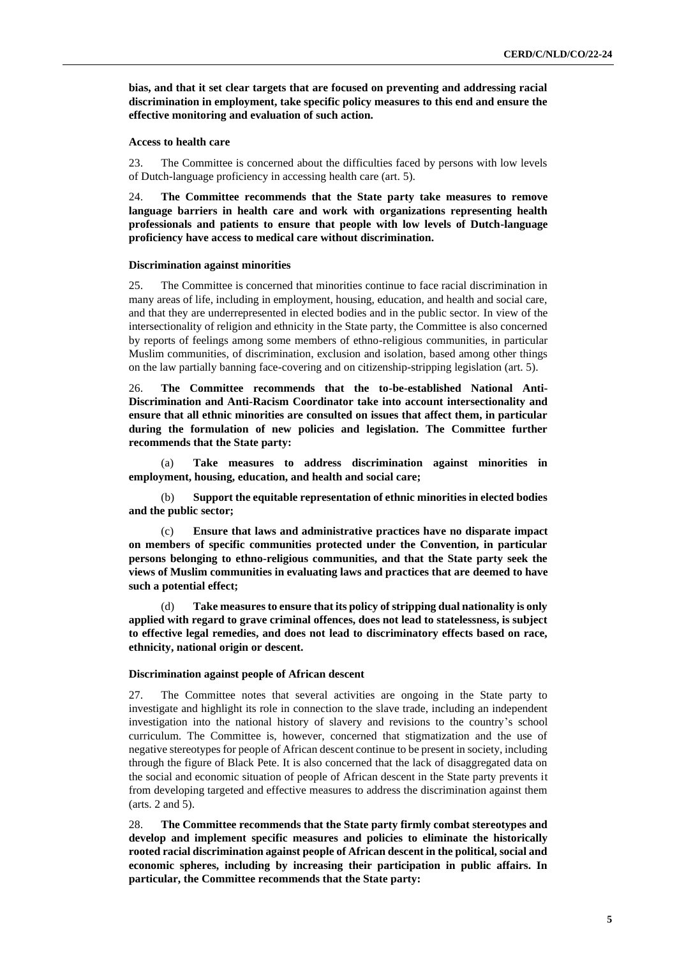**bias, and that it set clear targets that are focused on preventing and addressing racial discrimination in employment, take specific policy measures to this end and ensure the effective monitoring and evaluation of such action.** 

#### **Access to health care**

23. The Committee is concerned about the difficulties faced by persons with low levels of Dutch-language proficiency in accessing health care (art. 5).

24. **The Committee recommends that the State party take measures to remove language barriers in health care and work with organizations representing health professionals and patients to ensure that people with low levels of Dutch-language proficiency have access to medical care without discrimination.**

#### **Discrimination against minorities**

25. The Committee is concerned that minorities continue to face racial discrimination in many areas of life, including in employment, housing, education, and health and social care, and that they are underrepresented in elected bodies and in the public sector. In view of the intersectionality of religion and ethnicity in the State party, the Committee is also concerned by reports of feelings among some members of ethno-religious communities, in particular Muslim communities, of discrimination, exclusion and isolation, based among other things on the law partially banning face-covering and on citizenship-stripping legislation (art. 5).

26. **The Committee recommends that the to-be-established National Anti-Discrimination and Anti-Racism Coordinator take into account intersectionality and ensure that all ethnic minorities are consulted on issues that affect them, in particular during the formulation of new policies and legislation. The Committee further recommends that the State party:** 

(a) **Take measures to address discrimination against minorities in employment, housing, education, and health and social care;**

(b) **Support the equitable representation of ethnic minorities in elected bodies and the public sector;**

(c) **Ensure that laws and administrative practices have no disparate impact on members of specific communities protected under the Convention, in particular persons belonging to ethno-religious communities, and that the State party seek the views of Muslim communities in evaluating laws and practices that are deemed to have such a potential effect;**

(d) **Take measures to ensure that its policy of stripping dual nationality is only applied with regard to grave criminal offences, does not lead to statelessness, is subject to effective legal remedies, and does not lead to discriminatory effects based on race, ethnicity, national origin or descent.**

#### **Discrimination against people of African descent**

27. The Committee notes that several activities are ongoing in the State party to investigate and highlight its role in connection to the slave trade, including an independent investigation into the national history of slavery and revisions to the country's school curriculum. The Committee is, however, concerned that stigmatization and the use of negative stereotypes for people of African descent continue to be present in society, including through the figure of Black Pete. It is also concerned that the lack of disaggregated data on the social and economic situation of people of African descent in the State party prevents it from developing targeted and effective measures to address the discrimination against them (arts. 2 and 5).

28. **The Committee recommends that the State party firmly combat stereotypes and develop and implement specific measures and policies to eliminate the historically rooted racial discrimination against people of African descent in the political, social and economic spheres, including by increasing their participation in public affairs. In particular, the Committee recommends that the State party:**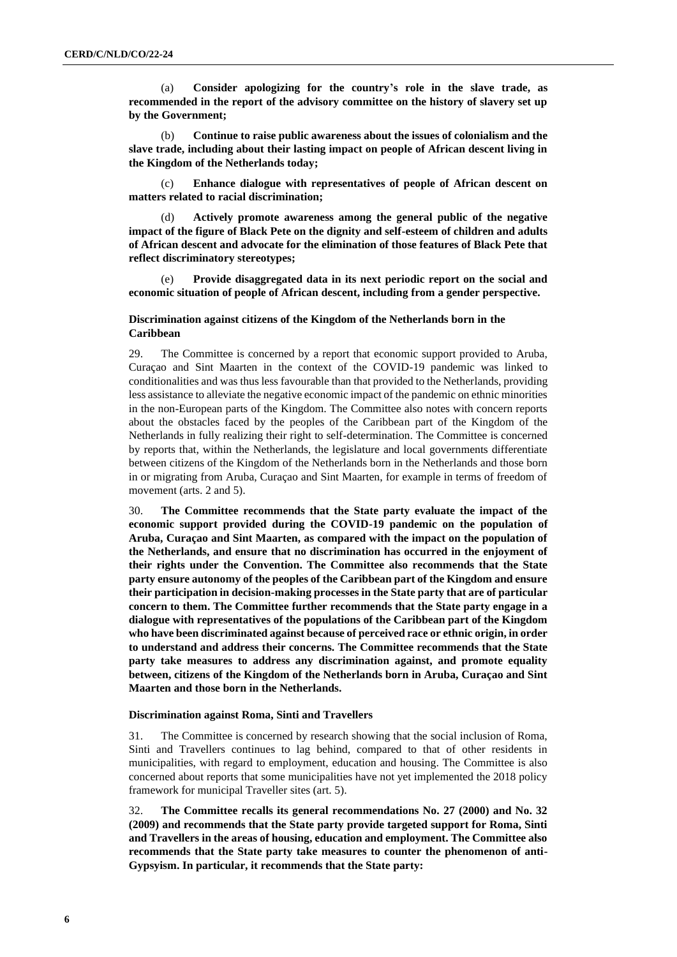(a) **Consider apologizing for the country's role in the slave trade, as recommended in the report of the advisory committee on the history of slavery set up by the Government;**

(b) **Continue to raise public awareness about the issues of colonialism and the slave trade, including about their lasting impact on people of African descent living in the Kingdom of the Netherlands today;**

(c) **Enhance dialogue with representatives of people of African descent on matters related to racial discrimination;** 

(d) **Actively promote awareness among the general public of the negative impact of the figure of Black Pete on the dignity and self-esteem of children and adults of African descent and advocate for the elimination of those features of Black Pete that reflect discriminatory stereotypes;** 

Provide disaggregated data in its next periodic report on the social and **economic situation of people of African descent, including from a gender perspective.**

## **Discrimination against citizens of the Kingdom of the Netherlands born in the Caribbean**

29. The Committee is concerned by a report that economic support provided to Aruba, Curaçao and Sint Maarten in the context of the COVID-19 pandemic was linked to conditionalities and was thus less favourable than that provided to the Netherlands, providing less assistance to alleviate the negative economic impact of the pandemic on ethnic minorities in the non-European parts of the Kingdom. The Committee also notes with concern reports about the obstacles faced by the peoples of the Caribbean part of the Kingdom of the Netherlands in fully realizing their right to self-determination. The Committee is concerned by reports that, within the Netherlands, the legislature and local governments differentiate between citizens of the Kingdom of the Netherlands born in the Netherlands and those born in or migrating from Aruba, Curaçao and Sint Maarten, for example in terms of freedom of movement (arts. 2 and 5).

30. **The Committee recommends that the State party evaluate the impact of the economic support provided during the COVID-19 pandemic on the population of Aruba, Curaçao and Sint Maarten, as compared with the impact on the population of the Netherlands, and ensure that no discrimination has occurred in the enjoyment of their rights under the Convention. The Committee also recommends that the State party ensure autonomy of the peoples of the Caribbean part of the Kingdom and ensure their participation in decision-making processes in the State party that are of particular concern to them. The Committee further recommends that the State party engage in a dialogue with representatives of the populations of the Caribbean part of the Kingdom who have been discriminated against because of perceived race or ethnic origin, in order to understand and address their concerns. The Committee recommends that the State party take measures to address any discrimination against, and promote equality between, citizens of the Kingdom of the Netherlands born in Aruba, Curaçao and Sint Maarten and those born in the Netherlands.** 

#### **Discrimination against Roma, Sinti and Travellers**

31. The Committee is concerned by research showing that the social inclusion of Roma, Sinti and Travellers continues to lag behind, compared to that of other residents in municipalities, with regard to employment, education and housing. The Committee is also concerned about reports that some municipalities have not yet implemented the 2018 policy framework for municipal Traveller sites (art. 5).

32. **The Committee recalls its general recommendations No. 27 (2000) and No. 32 (2009) and recommends that the State party provide targeted support for Roma, Sinti and Travellers in the areas of housing, education and employment. The Committee also recommends that the State party take measures to counter the phenomenon of anti-Gypsyism. In particular, it recommends that the State party:**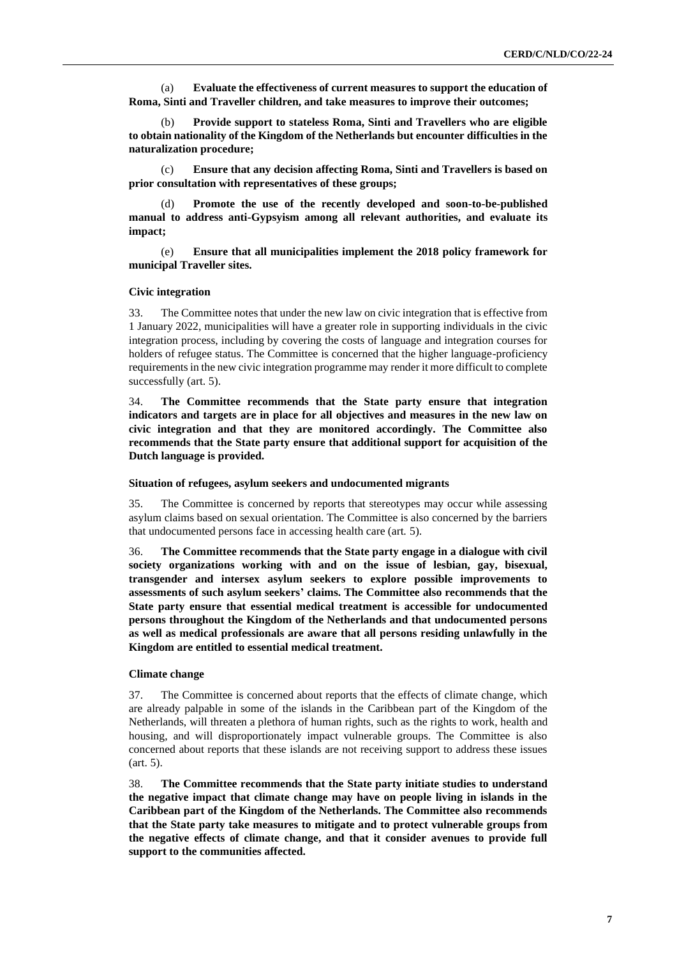(a) **Evaluate the effectiveness of current measures to support the education of Roma, Sinti and Traveller children, and take measures to improve their outcomes;**

(b) **Provide support to stateless Roma, Sinti and Travellers who are eligible to obtain nationality of the Kingdom of the Netherlands but encounter difficulties in the naturalization procedure;**

(c) **Ensure that any decision affecting Roma, Sinti and Travellers is based on prior consultation with representatives of these groups;** 

(d) **Promote the use of the recently developed and soon-to-be-published manual to address anti-Gypsyism among all relevant authorities, and evaluate its impact;** 

(e) **Ensure that all municipalities implement the 2018 policy framework for municipal Traveller sites.**

## **Civic integration**

33. The Committee notes that under the new law on civic integration that is effective from 1 January 2022, municipalities will have a greater role in supporting individuals in the civic integration process, including by covering the costs of language and integration courses for holders of refugee status. The Committee is concerned that the higher language-proficiency requirements in the new civic integration programme may render it more difficult to complete successfully (art. 5).

34. **The Committee recommends that the State party ensure that integration indicators and targets are in place for all objectives and measures in the new law on civic integration and that they are monitored accordingly. The Committee also recommends that the State party ensure that additional support for acquisition of the Dutch language is provided.** 

#### **Situation of refugees, asylum seekers and undocumented migrants**

35. The Committee is concerned by reports that stereotypes may occur while assessing asylum claims based on sexual orientation. The Committee is also concerned by the barriers that undocumented persons face in accessing health care (art. 5).

36. **The Committee recommends that the State party engage in a dialogue with civil society organizations working with and on the issue of lesbian, gay, bisexual, transgender and intersex asylum seekers to explore possible improvements to assessments of such asylum seekers' claims. The Committee also recommends that the State party ensure that essential medical treatment is accessible for undocumented persons throughout the Kingdom of the Netherlands and that undocumented persons as well as medical professionals are aware that all persons residing unlawfully in the Kingdom are entitled to essential medical treatment.**

#### **Climate change**

37. The Committee is concerned about reports that the effects of climate change, which are already palpable in some of the islands in the Caribbean part of the Kingdom of the Netherlands, will threaten a plethora of human rights, such as the rights to work, health and housing, and will disproportionately impact vulnerable groups. The Committee is also concerned about reports that these islands are not receiving support to address these issues (art. 5).

38. **The Committee recommends that the State party initiate studies to understand the negative impact that climate change may have on people living in islands in the Caribbean part of the Kingdom of the Netherlands. The Committee also recommends that the State party take measures to mitigate and to protect vulnerable groups from the negative effects of climate change, and that it consider avenues to provide full support to the communities affected.**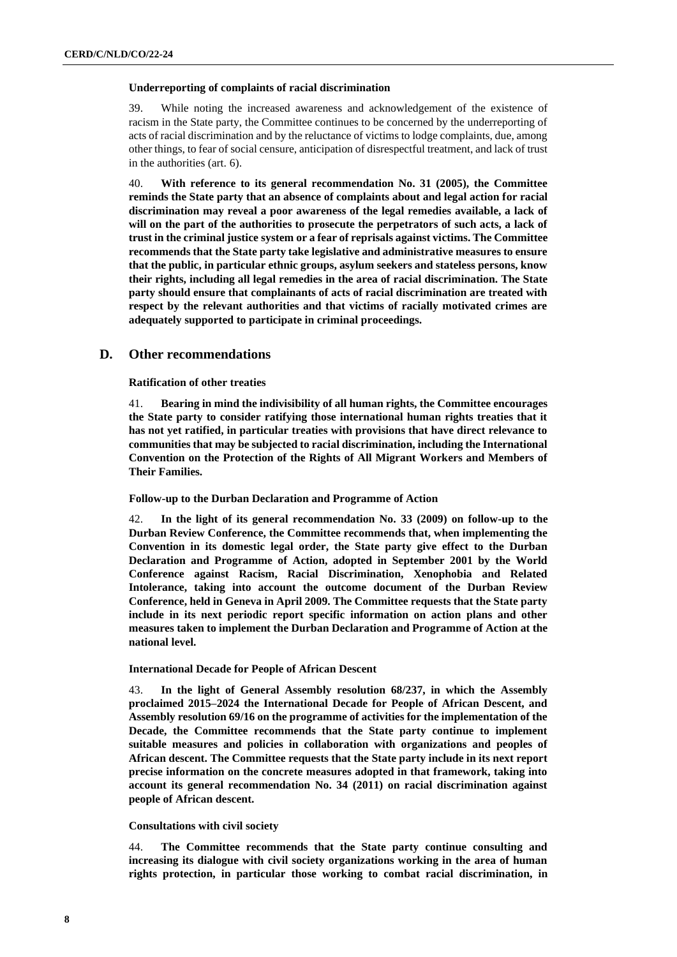## **Underreporting of complaints of racial discrimination**

39. While noting the increased awareness and acknowledgement of the existence of racism in the State party, the Committee continues to be concerned by the underreporting of acts of racial discrimination and by the reluctance of victims to lodge complaints, due, among other things, to fear of social censure, anticipation of disrespectful treatment, and lack of trust in the authorities (art. 6).

40. **With reference to its general recommendation No. 31 (2005), the Committee reminds the State party that an absence of complaints about and legal action for racial discrimination may reveal a poor awareness of the legal remedies available, a lack of will on the part of the authorities to prosecute the perpetrators of such acts, a lack of trust in the criminal justice system or a fear of reprisals against victims. The Committee recommends that the State party take legislative and administrative measures to ensure that the public, in particular ethnic groups, asylum seekers and stateless persons, know their rights, including all legal remedies in the area of racial discrimination. The State party should ensure that complainants of acts of racial discrimination are treated with respect by the relevant authorities and that victims of racially motivated crimes are adequately supported to participate in criminal proceedings.**

## **D. Other recommendations**

## **Ratification of other treaties**

41. **Bearing in mind the indivisibility of all human rights, the Committee encourages the State party to consider ratifying those international human rights treaties that it has not yet ratified, in particular treaties with provisions that have direct relevance to communities that may be subjected to racial discrimination, including the International Convention on the Protection of the Rights of All Migrant Workers and Members of Their Families.**

## **Follow-up to the Durban Declaration and Programme of Action**

42. **In the light of its general recommendation No. 33 (2009) on follow-up to the Durban Review Conference, the Committee recommends that, when implementing the Convention in its domestic legal order, the State party give effect to the Durban Declaration and Programme of Action, adopted in September 2001 by the World Conference against Racism, Racial Discrimination, Xenophobia and Related Intolerance, taking into account the outcome document of the Durban Review Conference, held in Geneva in April 2009. The Committee requests that the State party include in its next periodic report specific information on action plans and other measures taken to implement the Durban Declaration and Programme of Action at the national level.** 

## **International Decade for People of African Descent**

43. **In the light of General Assembly resolution 68/237, in which the Assembly proclaimed 2015–2024 the International Decade for People of African Descent, and Assembly resolution 69/16 on the programme of activities for the implementation of the Decade, the Committee recommends that the State party continue to implement suitable measures and policies in collaboration with organizations and peoples of African descent. The Committee requests that the State party include in its next report precise information on the concrete measures adopted in that framework, taking into account its general recommendation No. 34 (2011) on racial discrimination against people of African descent.** 

## **Consultations with civil society**

44. **The Committee recommends that the State party continue consulting and increasing its dialogue with civil society organizations working in the area of human rights protection, in particular those working to combat racial discrimination, in**